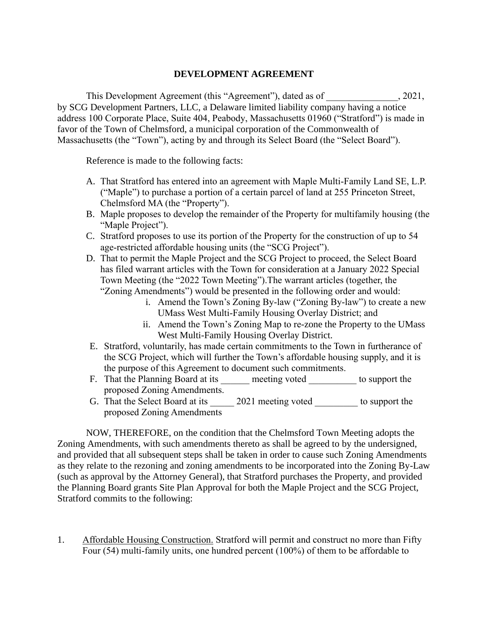### **DEVELOPMENT AGREEMENT**

This Development Agreement (this "Agreement"), dated as of  $\qquad \qquad , 2021,$ by SCG Development Partners, LLC, a Delaware limited liability company having a notice address 100 Corporate Place, Suite 404, Peabody, Massachusetts 01960 ("Stratford") is made in favor of the Town of Chelmsford, a municipal corporation of the Commonwealth of Massachusetts (the "Town"), acting by and through its Select Board (the "Select Board").

Reference is made to the following facts:

- A. That Stratford has entered into an agreement with Maple Multi-Family Land SE, L.P. ("Maple") to purchase a portion of a certain parcel of land at 255 Princeton Street, Chelmsford MA (the "Property").
- B. Maple proposes to develop the remainder of the Property for multifamily housing (the "Maple Project").
- C. Stratford proposes to use its portion of the Property for the construction of up to 54 age-restricted affordable housing units (the "SCG Project").
- D. That to permit the Maple Project and the SCG Project to proceed, the Select Board has filed warrant articles with the Town for consideration at a January 2022 Special Town Meeting (the "2022 Town Meeting").The warrant articles (together, the "Zoning Amendments") would be presented in the following order and would:
	- i. Amend the Town's Zoning By-law ("Zoning By-law") to create a new UMass West Multi-Family Housing Overlay District; and
	- ii. Amend the Town's Zoning Map to re-zone the Property to the UMass West Multi-Family Housing Overlay District.
- E. Stratford, voluntarily, has made certain commitments to the Town in furtherance of the SCG Project, which will further the Town's affordable housing supply, and it is the purpose of this Agreement to document such commitments.
- F. That the Planning Board at its \_\_\_\_\_\_ meeting voted \_\_\_\_\_\_\_\_\_\_\_ to support the proposed Zoning Amendments.
- G. That the Select Board at its \_\_\_\_\_\_ 2021 meeting voted \_\_\_\_\_\_\_\_\_ to support the proposed Zoning Amendments

NOW, THEREFORE, on the condition that the Chelmsford Town Meeting adopts the Zoning Amendments, with such amendments thereto as shall be agreed to by the undersigned, and provided that all subsequent steps shall be taken in order to cause such Zoning Amendments as they relate to the rezoning and zoning amendments to be incorporated into the Zoning By-Law (such as approval by the Attorney General), that Stratford purchases the Property, and provided the Planning Board grants Site Plan Approval for both the Maple Project and the SCG Project, Stratford commits to the following:

1. Affordable Housing Construction. Stratford will permit and construct no more than Fifty Four (54) multi-family units, one hundred percent (100%) of them to be affordable to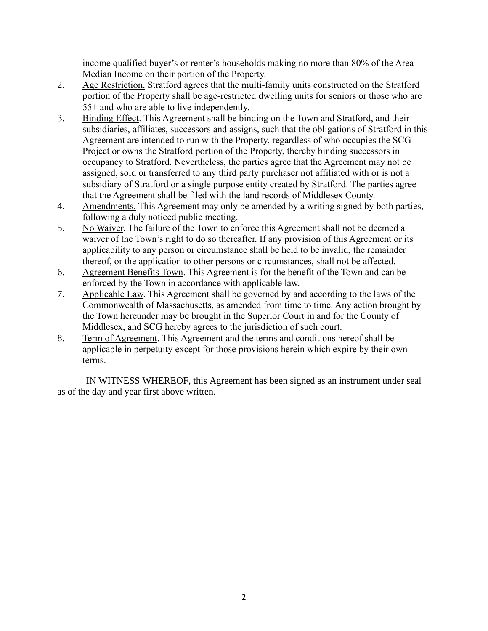income qualified buyer's or renter's households making no more than 80% of the Area Median Income on their portion of the Property.

- 2. Age Restriction. Stratford agrees that the multi-family units constructed on the Stratford portion of the Property shall be age-restricted dwelling units for seniors or those who are 55+ and who are able to live independently.
- 3. Binding Effect. This Agreement shall be binding on the Town and Stratford, and their subsidiaries, affiliates, successors and assigns, such that the obligations of Stratford in this Agreement are intended to run with the Property, regardless of who occupies the SCG Project or owns the Stratford portion of the Property, thereby binding successors in occupancy to Stratford. Nevertheless, the parties agree that the Agreement may not be assigned, sold or transferred to any third party purchaser not affiliated with or is not a subsidiary of Stratford or a single purpose entity created by Stratford. The parties agree that the Agreement shall be filed with the land records of Middlesex County.
- 4. Amendments. This Agreement may only be amended by a writing signed by both parties, following a duly noticed public meeting.
- 5. No Waiver. The failure of the Town to enforce this Agreement shall not be deemed a waiver of the Town's right to do so thereafter. If any provision of this Agreement or its applicability to any person or circumstance shall be held to be invalid, the remainder thereof, or the application to other persons or circumstances, shall not be affected.
- 6. Agreement Benefits Town. This Agreement is for the benefit of the Town and can be enforced by the Town in accordance with applicable law.
- 7. Applicable Law. This Agreement shall be governed by and according to the laws of the Commonwealth of Massachusetts, as amended from time to time. Any action brought by the Town hereunder may be brought in the Superior Court in and for the County of Middlesex, and SCG hereby agrees to the jurisdiction of such court.
- 8. Term of Agreement. This Agreement and the terms and conditions hereof shall be applicable in perpetuity except for those provisions herein which expire by their own terms.

IN WITNESS WHEREOF, this Agreement has been signed as an instrument under seal as of the day and year first above written.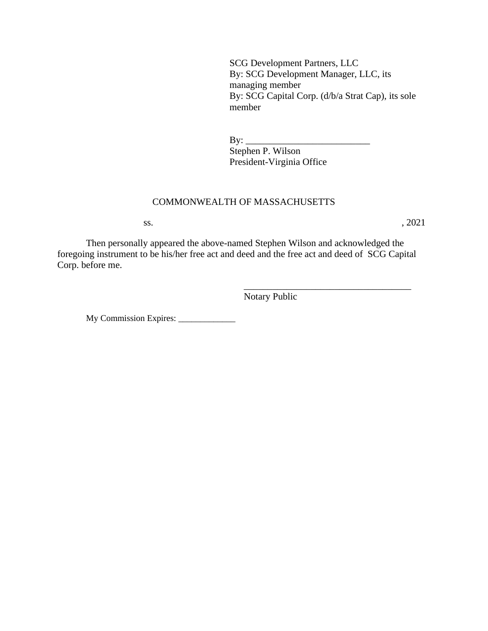SCG Development Partners, LLC By: SCG Development Manager, LLC, its managing member By: SCG Capital Corp. (d/b/a Strat Cap), its sole member

\_\_\_\_\_\_\_\_\_\_\_\_\_\_\_\_\_\_\_\_\_\_\_\_\_\_\_\_\_\_\_\_\_\_\_

By: \_\_\_\_\_\_\_\_\_\_\_\_\_\_\_\_\_\_\_\_\_\_\_\_\_\_ Stephen P. Wilson President-Virginia Office

# COMMONWEALTH OF MASSACHUSETTS

 $\text{ss.}$ , 2021

Then personally appeared the above-named Stephen Wilson and acknowledged the foregoing instrument to be his/her free act and deed and the free act and deed of SCG Capital Corp. before me.

Notary Public

My Commission Expires: \_\_\_\_\_\_\_\_\_\_\_\_\_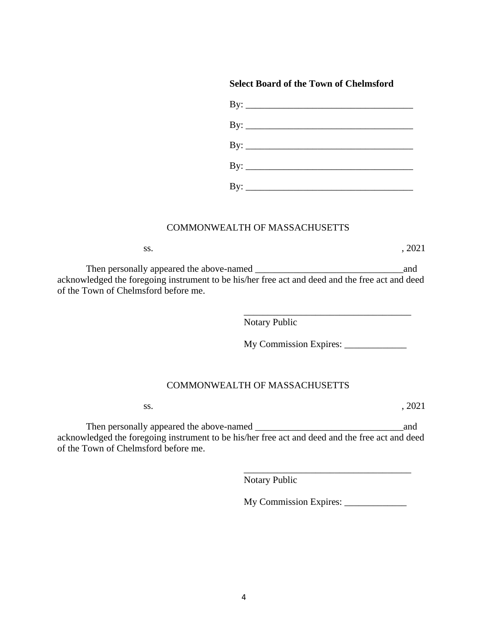### **Select Board of the Town of Chelmsford**

| By: $\overline{\phantom{a}}$ |  |  |
|------------------------------|--|--|
| By: $\overline{\phantom{a}}$ |  |  |
| By: $\overline{\phantom{a}}$ |  |  |
| $\text{By:}\_$               |  |  |
|                              |  |  |

#### COMMONWEALTH OF MASSACHUSETTS

| SS. |  | , 2021 |
|-----|--|--------|
|     |  |        |

Then personally appeared the above-named \_\_\_\_\_\_\_\_\_\_\_\_\_\_\_\_\_\_\_\_\_\_\_\_\_\_\_\_\_\_\_and acknowledged the foregoing instrument to be his/her free act and deed and the free act and deed of the Town of Chelmsford before me.

Notary Public

My Commission Expires: \_\_\_\_\_\_\_\_\_\_\_\_\_

\_\_\_\_\_\_\_\_\_\_\_\_\_\_\_\_\_\_\_\_\_\_\_\_\_\_\_\_\_\_\_\_\_\_\_

#### COMMONWEALTH OF MASSACHUSETTS

 $\text{ss.}$ , 2021

Then personally appeared the above-named \_\_\_\_\_\_\_\_\_\_\_\_\_\_\_\_\_\_\_\_\_\_\_\_\_\_\_\_\_\_\_and acknowledged the foregoing instrument to be his/her free act and deed and the free act and deed of the Town of Chelmsford before me.

Notary Public

My Commission Expires:

\_\_\_\_\_\_\_\_\_\_\_\_\_\_\_\_\_\_\_\_\_\_\_\_\_\_\_\_\_\_\_\_\_\_\_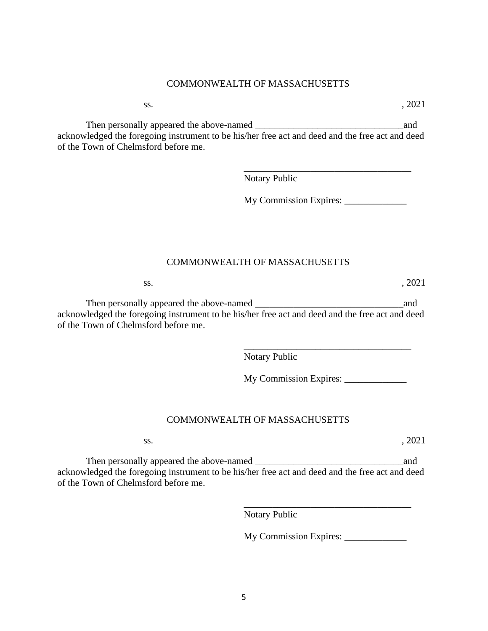## COMMONWEALTH OF MASSACHUSETTS

Then personally appeared the above-named \_\_\_\_\_\_\_\_\_\_\_\_\_\_\_\_\_\_\_\_\_\_\_\_\_\_\_\_\_\_\_and acknowledged the foregoing instrument to be his/her free act and deed and the free act and deed of the Town of Chelmsford before me.

Notary Public

My Commission Expires: \_\_\_\_\_\_\_\_\_\_\_\_\_

\_\_\_\_\_\_\_\_\_\_\_\_\_\_\_\_\_\_\_\_\_\_\_\_\_\_\_\_\_\_\_\_\_\_\_

### COMMONWEALTH OF MASSACHUSETTS

Then personally appeared the above-named \_\_\_\_\_\_\_\_\_\_\_\_\_\_\_\_\_\_\_\_\_\_\_\_\_\_\_\_\_\_\_and acknowledged the foregoing instrument to be his/her free act and deed and the free act and deed of the Town of Chelmsford before me.

Notary Public

My Commission Expires:

\_\_\_\_\_\_\_\_\_\_\_\_\_\_\_\_\_\_\_\_\_\_\_\_\_\_\_\_\_\_\_\_\_\_\_

## COMMONWEALTH OF MASSACHUSETTS

Then personally appeared the above-named \_\_\_\_\_\_\_\_\_\_\_\_\_\_\_\_\_\_\_\_\_\_\_\_\_\_\_\_\_\_\_and acknowledged the foregoing instrument to be his/her free act and deed and the free act and deed of the Town of Chelmsford before me.

Notary Public

My Commission Expires:

\_\_\_\_\_\_\_\_\_\_\_\_\_\_\_\_\_\_\_\_\_\_\_\_\_\_\_\_\_\_\_\_\_\_\_

 $\text{ss.}$ , 2021

 $\text{ss.}$ , 2021

 $\text{ss.}$ , 2021